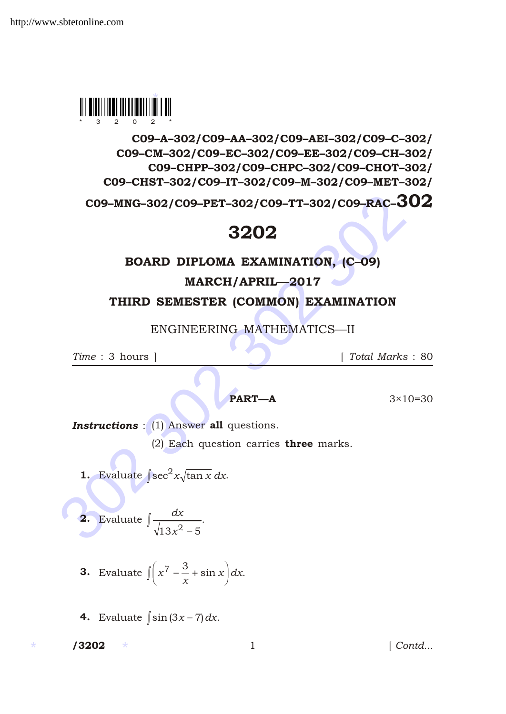

C09–A–302/C09–AA–302/C09–AEI–302/C09–C–302/ C09–CM–302/C09–EC–302/C09–EE–302/C09–CH–302/ C09–CHPP–302/C09–CHPC–302/C09–CHOT–302/ C09–CHST–302/C09–IT–302/C09–M–302/C09–MET–302/

CO9-MNG-302/CO9-PET-302/CO9-TT-302/CO9-RAC-30<br>3202<br>BOARD DIPLOMA EXAMINATION, (C-09)<br>MARCH/APRIL-2017<br>THIRD SEMESTER (COMMON) EXAMINATION<br>ENGINEERING MATHEMATICS—II<br>Time : 3 hours ] [Total Marks :<br>Time : 3 hours ] [Total C09–MNG–302/C09–PET–302/C09–TT–302/C09–RAC–302

## 3202

## BOARD DIPLOMA EXAMINATION, (C–09)

MARCH/APRIL—2017

THIRD SEMESTER (COMMON) EXAMINATION

ENGINEERING MATHEMATICS—II

*Time* : 3 hours ] [ *Total Marks* : 80

**PART—A**  $3 \times 10 = 30$ 

**Instructions** : (1) Answer all questions.

.

(2) Each question carries three marks.

**1.** Evaluate  $\sec^2 x \sqrt{\tan x} dx$ .

2. Evaluate 
$$
\frac{dx}{\sqrt{13x^2 + 5}}
$$

- 3. Evaluate *x x*  $\frac{3}{2}$  sin x dx.
- 4. Evaluate  $\sin(3x)$  7) dx.

\* \*

1 *Contd...*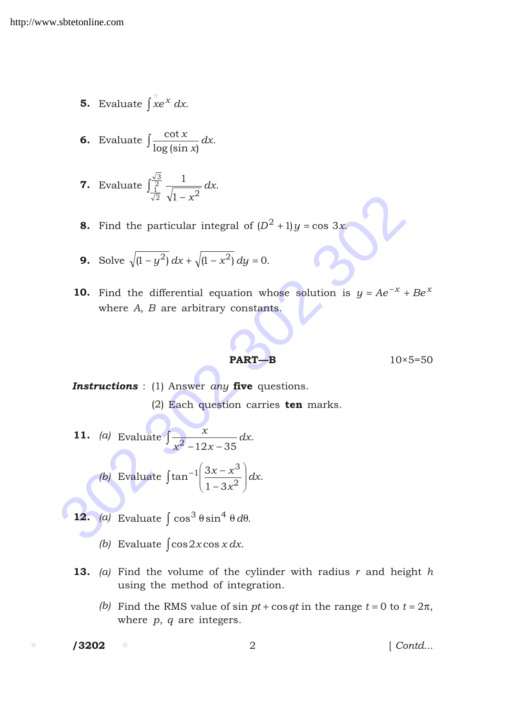- 5. Evaluate  $\overrightarrow{xe}^x dx$ .
- 6. Evaluate  $\log (\sin x)$ *x x dx*.

**7.** Evaluate 
$$
\frac{\frac{\sqrt{3}}{2}}{\frac{1}{\sqrt{2}}}\frac{1}{\sqrt{1-x^2}}dx
$$
.

**8.** Find the particular integral of  $(D^2 \t1)y$  $\cos 3x$ .

**9.** Solve 
$$
\sqrt{(1 + y^2)} dx
$$
  $\sqrt{(1 + x^2)} dy$  0.

32 302 312 302 312 302 312 42 302 312 42 42 52 42 42 52 42 52 42 52 42 52 53 42 42 52 52 42 42 52 52 42 42 52 52 42 42 52 52 42 42 52 52 42 42 52 52 42 42 52 52 42 42 52 52 42 42 52 52 42 42 52 52 42 42 52 52 42 42 52 52 10. Find the differential equation whose solution is  $y$  *Ae*  $^x$  $Be^{x}$ where *A*, *B* are arbitrary constants.

$$
PART - B \t\t 10 \times 5 = 50
$$

*Instructions* : (1) Answer *any* five questions.

(2) Each question carries ten marks.

**11.** (*a*) Evaluate 
$$
\frac{x}{x^2 - 12x - 35} dx
$$
.

(b) Evaluate 
$$
\tan^{-1} \frac{3x - x^3}{1 - 3x^2} dx
$$
.

- 12.  $(a)$  Evaluate  $\cos^3 \sin^4 d$ .
	- *(b)* Evaluate  $\cos 2x \cos x \, dx$ .
- 13. *(a)* Find the volume of the cylinder with radius *r* and height *h* using the method of integration.
	- *(b)* Find the RMS value of sin *pt*  $\cos qt$  in the range *t* 0 to *t* 2, where *p*, *q* are integers.

\* \*

[  $Contd...$